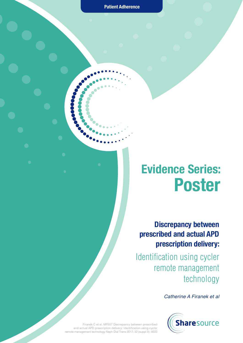**Patient Adherence**

# **Evidence Series: Poster**

**Discrepancy between prescribed and actual APD prescription delivery:**

Identification using cycler remote management technology

*Catherine A Firanek et al*



Firanek C et al, MP557 Discrepancy between prescribed and actual APD prescription delivery: Identification using cycler remote management technology Neph Dial Trans 2017; 32 (suppl 3): iii633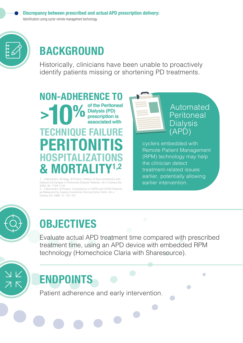

# **BACKGROUND**

Historically, clinicians have been unable to proactively identify patients missing or shortening PD treatments.

**>10% NON-ADHERENCE TO of the Peritoneal Dialysis (PD) prescription is associated with PERITONITIS HOSPITALIZ & MORTA TECHNIQUE FAIL** 

1. J Bernardini, M Nagy, B Piraino. Pattern of Noncompliance with Dialysis Exchanges in Peritoneal Dialysis Patients. Am J Kidney Dis 2000; 35: 1104-1110.

2. J Bernardini, B Piraino. Compliance in CAPD and CCPD Patients as Measured by Supply Inventories During Home Visits. Am J Kidney Dis 1998; 31: 107-107.



cyclers embedded with Remote Patient Management (RPM) technology may help the clinician detect treatment-related issues earlier, potentially allowing earlier intervention.

 $\Box$ 



# **OBJECTIVES**

Evaluate actual APD treatment time compared with prescribed treatment time, using an APD device with embedded RPM technology (Homechoice Claria with Sharesource).

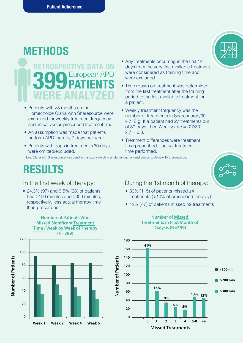# **METHODS** *SPECTIVE DATA ON* **399 PATIENTS WERE ANALYZED**

- Patients with ≥3 months on the Homechoice Claria with Sharesource were examined for weekly treatment frequency and actual versus prescribed treatment time.
- An assumption was made that patients perform APD therapy 7 days per week.
- Patients with gaps in treatment >30 days were omitted/excluded.
- Any treatments occurring in the first 14 days from the very first available treatment were considered as training time and were excluded.
- Time (days) on treatment was determined from the first treatment after the training period to the last available treatment for a patient.
- Weekly treatment frequency was the number of treatments in Sharesource/30 x 7. E.g. If a patient had 27 treatments out of 30 days, then Weekly rate  $= (27/30)$  $x 7 = 6.3.$
- Treatment differences were treatment time prescribed – actual treatment time performed.

Note: Claria with Sharesource was used in this study which is similar in function and design to Amia with Sharesource.

#### **RESULTS**

In the first week of therapy:

• 24.3% (97) and 9.5% (38) of patients had ≥100 minutes and ≥300 minutes, respectively, less actual therapy time than prescribed

**Number of Patients Who**

**Time / Week by Week of Therapy**

**Missed Significant Treatment** 

• 30% (115) of patients missed ≥4 During the 1st month of therapy:

- treatments (>10% of prescribed therapy)
- 12% (47) of patients missed ≥9 treatments



#### **Number of Missed Treatments in First Month of Dialysis (N=399)**